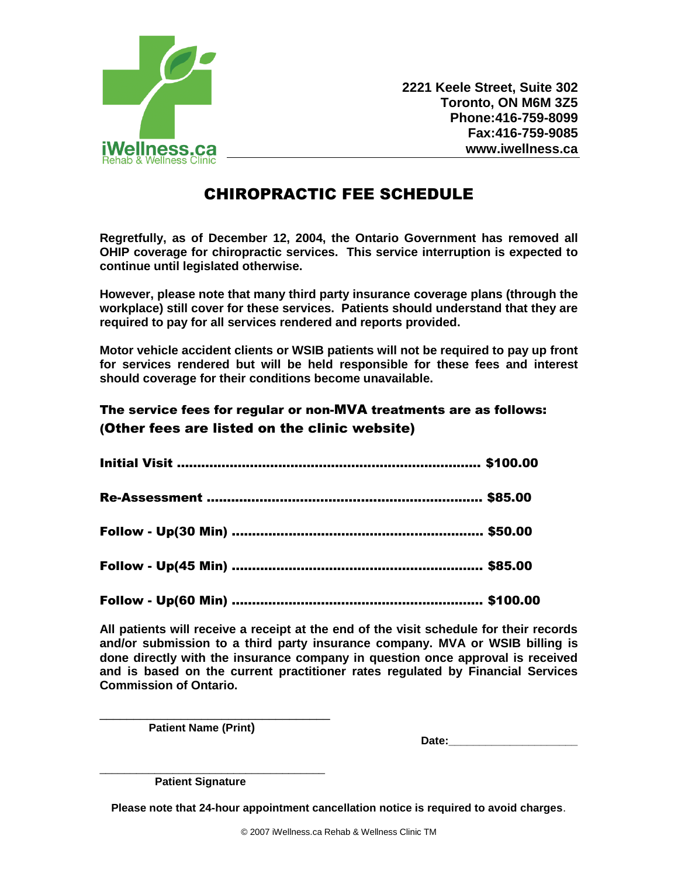

**2221 Keele Street, Suite 302 Toronto, ON M6M 3Z5 Phone:416-759-8099 Fax:416-759-9085 www.iwellness.ca**

## CHIROPRACTIC FEE SCHEDULE

**Regretfully, as of December 12, 2004, the Ontario Government has removed all OHIP coverage for chiropractic services. This service interruption is expected to continue until legislated otherwise.**

**However, please note that many third party insurance coverage plans (through the workplace) still cover for these services. Patients should understand that they are required to pay for all services rendered and reports provided.** 

**Motor vehicle accident clients or WSIB patients will not be required to pay up front for services rendered but will be held responsible for these fees and interest should coverage for their conditions become unavailable.** 

## The service fees for regular or non-MVA treatments are as follows: (Other fees are listed on the clinic website)

**All patients will receive a receipt at the end of the visit schedule for their records and/or submission to a third party insurance company. MVA or WSIB billing is done directly with the insurance company in question once approval is received and is based on the current practitioner rates regulated by Financial Services Commission of Ontario.**

 **Patient Name (Print)** 

\_\_\_\_\_\_\_\_\_\_\_\_\_\_\_\_\_\_\_\_\_\_\_\_\_\_\_\_\_\_\_\_\_\_

Date:

\_\_\_\_\_\_\_\_\_\_\_\_\_\_\_\_\_\_\_\_\_\_\_\_\_\_\_\_\_\_\_\_\_\_\_\_\_  **Patient Signature**

**Please note that 24-hour appointment cancellation notice is required to avoid charges**.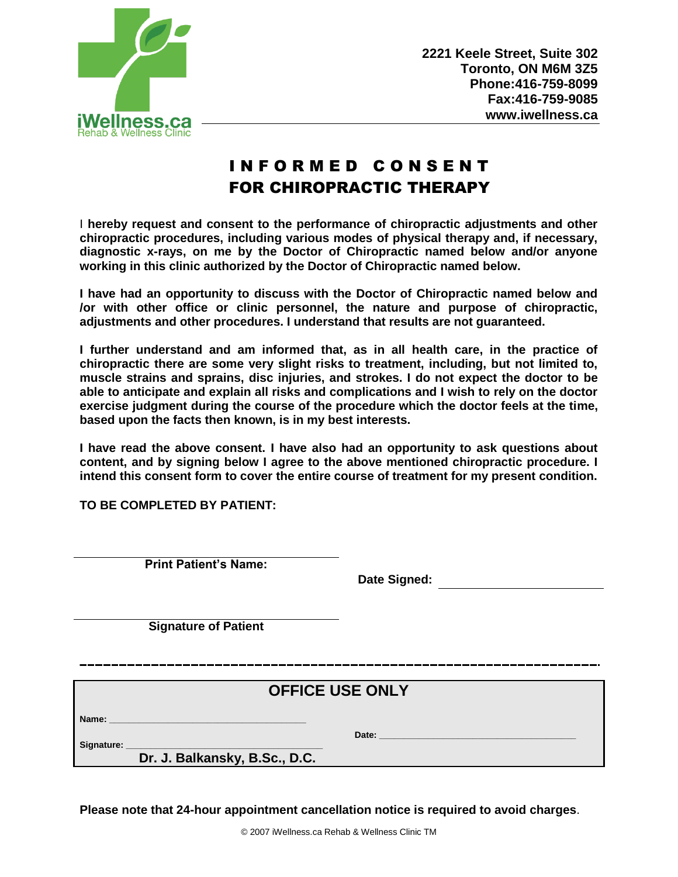

## I N F O R M E D C O N S E N T FOR CHIROPRACTIC THERAPY

I **hereby request and consent to the performance of chiropractic adjustments and other chiropractic procedures, including various modes of physical therapy and, if necessary, diagnostic x-rays, on me by the Doctor of Chiropractic named below and/or anyone working in this clinic authorized by the Doctor of Chiropractic named below.** 

**I have had an opportunity to discuss with the Doctor of Chiropractic named below and /or with other office or clinic personnel, the nature and purpose of chiropractic, adjustments and other procedures. I understand that results are not guaranteed.** 

**I further understand and am informed that, as in all health care, in the practice of chiropractic there are some very slight risks to treatment, including, but not limited to, muscle strains and sprains, disc injuries, and strokes. I do not expect the doctor to be able to anticipate and explain all risks and complications and I wish to rely on the doctor exercise judgment during the course of the procedure which the doctor feels at the time, based upon the facts then known, is in my best interests.** 

**I have read the above consent. I have also had an opportunity to ask questions about content, and by signing below I agree to the above mentioned chiropractic procedure. I intend this consent form to cover the entire course of treatment for my present condition.** 

**TO BE COMPLETED BY PATIENT:** 

**Print Patient's Name:**

**Date Signed:** 

**Signature of Patient**

## **OFFICE USE ONLY**

Name:

**Signature: \_\_\_\_\_\_\_\_\_\_\_\_\_\_\_\_\_\_\_\_\_\_\_\_\_\_\_\_\_\_\_\_\_\_\_\_\_\_\_\_**

Date:

 **Dr. J. Balkansky, B.Sc., D.C.**

**Please note that 24-hour appointment cancellation notice is required to avoid charges**.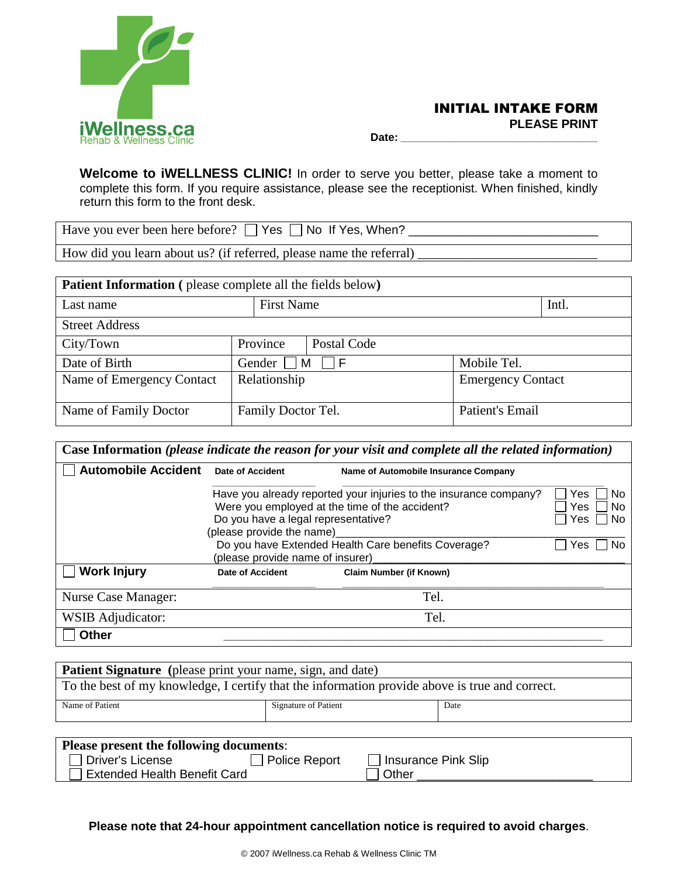

 **Date: \_\_\_\_\_\_\_\_\_\_\_\_\_\_\_\_\_\_\_\_\_\_\_\_\_\_\_\_\_\_\_\_\_\_\_\_\_\_\_\_**

**Welcome to iWELLNESS CLINIC!** In order to serve you better, please take a moment to complete this form. If you require assistance, please see the receptionist. When finished, kindly return this form to the front desk.

| Have you ever been here before? $\Box$ Yes $\Box$ No If Yes, When? |  |
|--------------------------------------------------------------------|--|
|                                                                    |  |

How did you learn about us? (if referred, please name the referral)

| <b>Patient Information</b> (please complete all the fields below) |                    |             |                          |       |  |
|-------------------------------------------------------------------|--------------------|-------------|--------------------------|-------|--|
| Last name                                                         | <b>First Name</b>  |             |                          | Intl. |  |
| <b>Street Address</b>                                             |                    |             |                          |       |  |
| City/Town                                                         | Province           | Postal Code |                          |       |  |
| Date of Birth                                                     | Gender $\Box$      | M<br>l IF   | Mobile Tel.              |       |  |
| Name of Emergency Contact                                         | Relationship       |             | <b>Emergency Contact</b> |       |  |
| Name of Family Doctor                                             | Family Doctor Tel. |             | Patient's Email          |       |  |

| <b>Automobile Accident</b>                                        | <b>Date of Accident</b>                                                                                                                                                                                       | Name of Automobile Insurance Company                                                           |                         |
|-------------------------------------------------------------------|---------------------------------------------------------------------------------------------------------------------------------------------------------------------------------------------------------------|------------------------------------------------------------------------------------------------|-------------------------|
|                                                                   | Have you already reported your injuries to the insurance company?<br>Yes<br>Were you employed at the time of the accident?<br>Yes<br>Do you have a legal representative?<br>Yes<br>(please provide the name)_ |                                                                                                |                         |
|                                                                   | Do you have Extended Health Care benefits Coverage?<br>(please provide name of insurer)                                                                                                                       |                                                                                                | <b>No</b><br><b>Yes</b> |
| <b>Work Injury</b>                                                | <b>Date of Accident</b>                                                                                                                                                                                       | <b>Claim Number (if Known)</b>                                                                 |                         |
| <b>Nurse Case Manager:</b>                                        |                                                                                                                                                                                                               | Tel.                                                                                           |                         |
| WSIB Adjudicator:                                                 | Tel.                                                                                                                                                                                                          |                                                                                                |                         |
| <b>Other</b>                                                      |                                                                                                                                                                                                               |                                                                                                |                         |
|                                                                   |                                                                                                                                                                                                               |                                                                                                |                         |
| <b>Patient Signature</b> (please print your name, sign, and date) |                                                                                                                                                                                                               |                                                                                                |                         |
|                                                                   |                                                                                                                                                                                                               | To the best of my knowledge, I certify that the information provide above is true and correct. |                         |
| Name of Patient                                                   | <b>Signature of Patient</b>                                                                                                                                                                                   | Date                                                                                           |                         |
|                                                                   |                                                                                                                                                                                                               |                                                                                                |                         |

Extended Health Benefit Card  $\Box$  Other

**Please note that 24-hour appointment cancellation notice is required to avoid charges**.